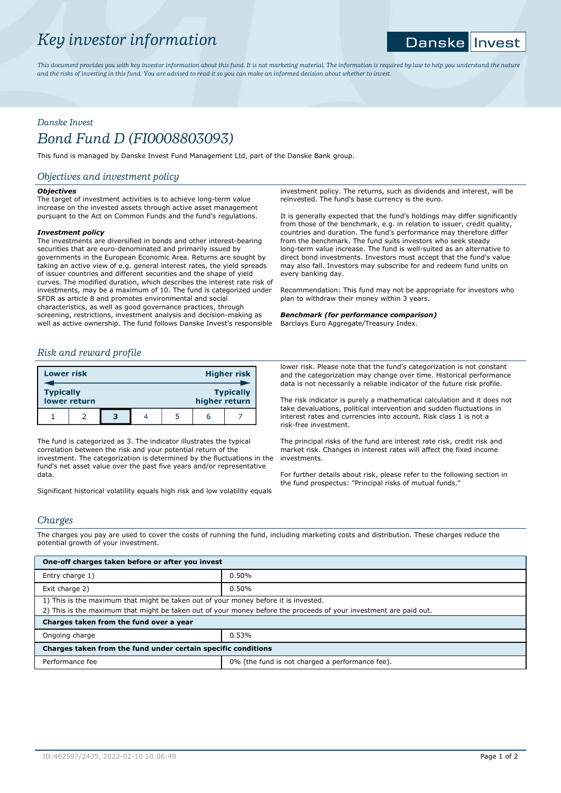# *Key investor information*

#### **Danske** Invest

*This document provides you with key investor information about this fund. It is not marketing material. The information is required by law to help you understand the nature and the risks of investing in this fund. You are advised to read it so you can make an informed decision about whether to invest.*

# *Danske Invest*

# *Bond Fund D (FI0008803093)*

This fund is managed by Danske Invest Fund Management Ltd, part of the Danske Bank group.

# *Objectives and investment policy*

## *Objectives*

The target of investment activities is to achieve long-term value increase on the invested assets through active asset management pursuant to the Act on Common Funds and the fund's regulations.

## *Investment policy*

The investments are diversified in bonds and other interest-bearing securities that are euro-denominated and primarily issued by governments in the European Economic Area. Returns are sought by taking an active view of e.g. general interest rates, the yield spreads of issuer countries and different securities and the shape of yield curves. The modified duration, which describes the interest rate risk of investments, may be a maximum of 10. The fund is categorized under SFDR as article 8 and promotes environmental and social characteristics, as well as good governance practices, through screening, restrictions, investment analysis and decision-making as well as active ownership. The fund follows Danske Invest's responsible

# *Risk and reward profile*

| <b>Lower risk</b>                |  |   | <b>Higher risk</b> |  |               |                  |
|----------------------------------|--|---|--------------------|--|---------------|------------------|
| <b>Typically</b><br>lower return |  |   |                    |  | higher return | <b>Typically</b> |
|                                  |  | з |                    |  |               |                  |

The fund is categorized as 3. The indicator illustrates the typical correlation between the risk and your potential return of the investment. The categorization is determined by the fluctuations in the fund's net asset value over the past five years and/or representative data.

Significant historical volatility equals high risk and low volatility equals

investment policy. The returns, such as dividends and interest, will be reinvested. The fund's base currency is the euro.

It is generally expected that the fund's holdings may differ significantly from those of the benchmark, e.g. in relation to issuer, credit quality, countries and duration. The fund's performance may therefore differ from the benchmark. The fund suits investors who seek steady long-term value increase. The fund is well-suited as an alternative to direct bond investments. Investors must accept that the fund's value may also fall. Investors may subscribe for and redeem fund units on every banking day.

Recommendation: This fund may not be appropriate for investors who plan to withdraw their money within 3 years.

*Benchmark (for performance comparison)* Barclays Euro Aggregate/Treasury Index.

lower risk. Please note that the fund's categorization is not constant and the categorization may change over time. Historical performance data is not necessarily a reliable indicator of the future risk profile.

The risk indicator is purely a mathematical calculation and it does not take devaluations, political intervention and sudden fluctuations in interest rates and currencies into account. Risk class 1 is not a risk-free investment.

The principal risks of the fund are interest rate risk, credit risk and market risk. Changes in interest rates will affect the fixed income investments.

For further details about risk, please refer to the following section in the fund prospectus: "Principal risks of mutual funds."

# *Charges*

The charges you pay are used to cover the costs of running the fund, including marketing costs and distribution. These charges reduce the potential growth of your investment.

| One-off charges taken before or after you invest                                                                                                                                                         |                                                 |  |  |  |
|----------------------------------------------------------------------------------------------------------------------------------------------------------------------------------------------------------|-------------------------------------------------|--|--|--|
| Entry charge 1)                                                                                                                                                                                          | 0.50%                                           |  |  |  |
| Exit charge 2)                                                                                                                                                                                           | 0.50%                                           |  |  |  |
| 1) This is the maximum that might be taken out of your money before it is invested.<br>2) This is the maximum that might be taken out of your money before the proceeds of your investment are paid out. |                                                 |  |  |  |
| Charges taken from the fund over a year                                                                                                                                                                  |                                                 |  |  |  |
| Ongoing charge                                                                                                                                                                                           | 0.53%                                           |  |  |  |
| Charges taken from the fund under certain specific conditions                                                                                                                                            |                                                 |  |  |  |
| Performance fee                                                                                                                                                                                          | 0% (the fund is not charged a performance fee). |  |  |  |